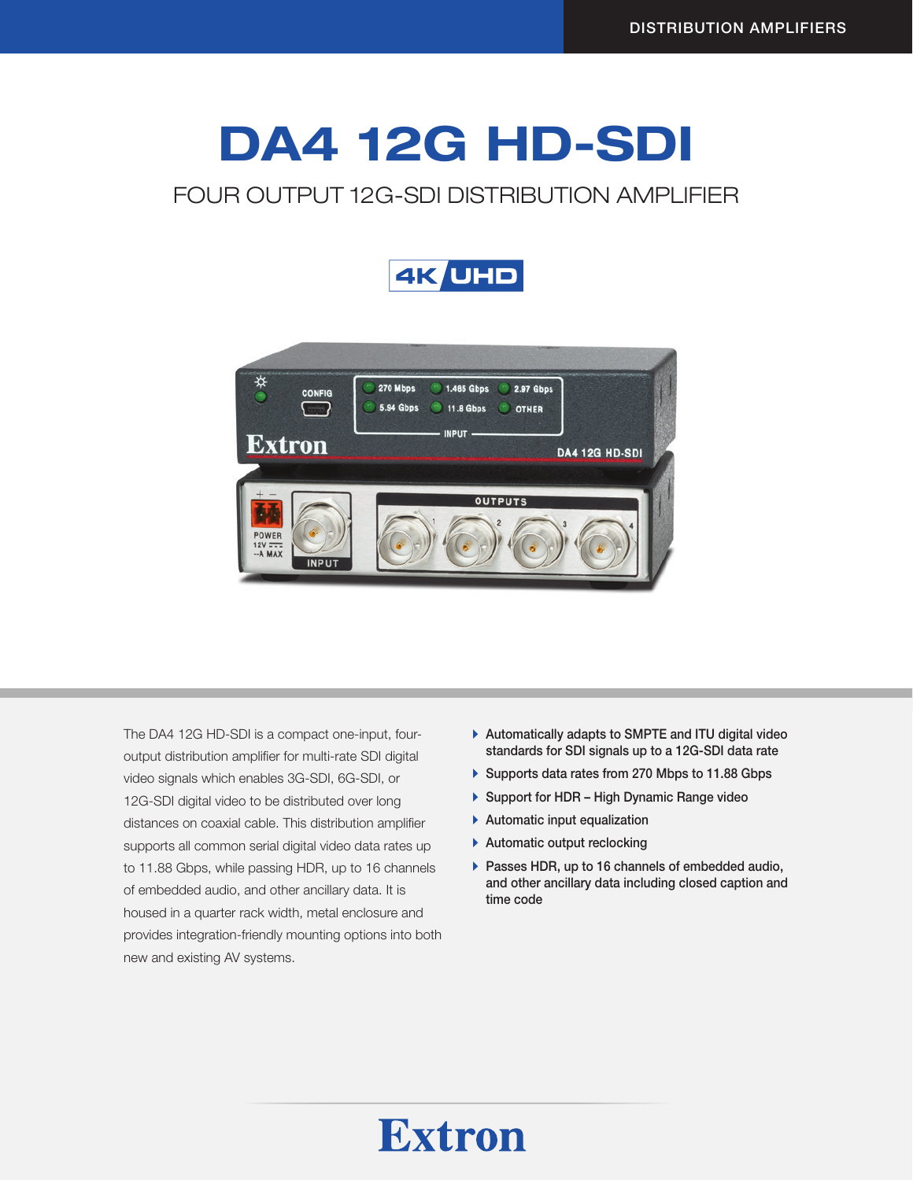# DA4 12G HD-SDI

## FOUR OUTPUT 12G-SDI DISTRIBUTION AMPLIFIER





The DA4 12G HD-SDI is a compact one-input, fouroutput distribution amplifier for multi-rate SDI digital video signals which enables 3G-SDI, 6G-SDI, or 12G-SDI digital video to be distributed over long distances on coaxial cable. This distribution amplifier supports all common serial digital video data rates up to 11.88 Gbps, while passing HDR, up to 16 channels of embedded audio, and other ancillary data. It is housed in a quarter rack width, metal enclosure and provides integration-friendly mounting options into both new and existing AV systems.

- $\blacktriangleright$  Automatically adapts to SMPTE and ITU digital video standards for SDI signals up to a 12G-SDI data rate
- ▶ Supports data rates from 270 Mbps to 11.88 Gbps
- ▶ Support for HDR High Dynamic Range video
- $\blacktriangleright$  Automatic input equalization
- $\blacktriangleright$  Automatic output reclocking
- $\blacktriangleright$  Passes HDR, up to 16 channels of embedded audio, and other ancillary data including closed caption and time code

# **Extron**